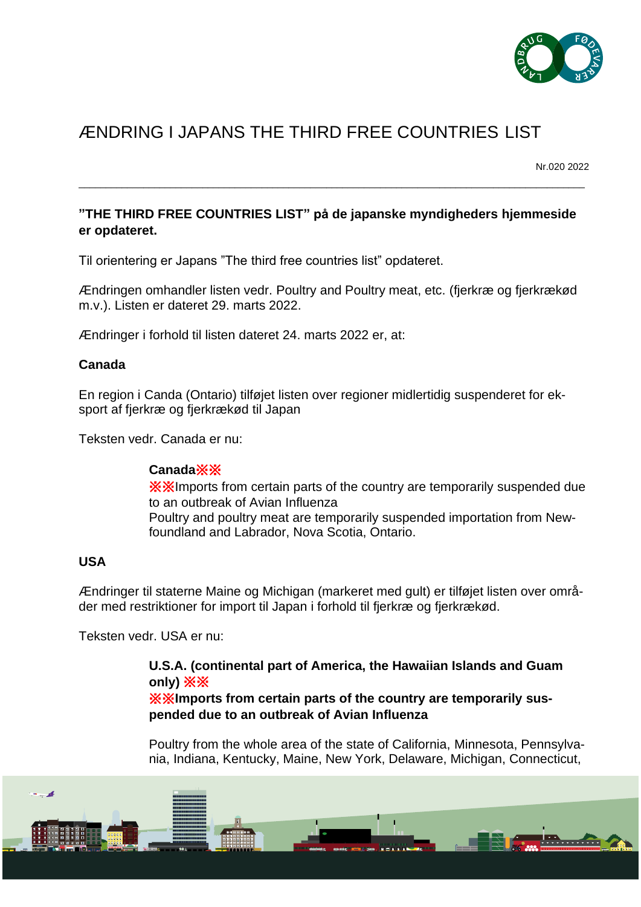

# ÆNDRING I JAPANS THE THIRD FREE COUNTRIES LIST

Nr.020 2022

# **"THE THIRD FREE COUNTRIES LIST" på de japanske myndigheders hjemmeside er opdateret.**

\_\_\_\_\_\_\_\_\_\_\_\_\_\_\_\_\_\_\_\_\_\_\_\_\_\_\_\_\_\_\_\_\_\_\_\_\_\_\_\_\_\_\_\_\_\_\_\_\_\_\_\_\_\_\_\_\_\_\_\_\_\_\_\_\_\_\_\_\_\_\_\_\_\_\_\_\_\_\_\_\_\_\_\_\_\_\_\_\_\_\_\_\_\_

Til orientering er Japans "The third free countries list" opdateret.

Ændringen omhandler listen vedr. Poultry and Poultry meat, etc. (fjerkræ og fjerkrækød m.v.). Listen er dateret 29. marts 2022.

Ændringer i forhold til listen dateret 24. marts 2022 er, at:

# **Canada**

En region i Canda (Ontario) tilføjet listen over regioner midlertidig suspenderet for eksport af fjerkræ og fjerkrækød til Japan

Teksten vedr. Canada er nu:

# **Canada**※※

※※Imports from certain parts of the country are temporarily suspended due to an outbreak of Avian Influenza Poultry and poultry meat are temporarily suspended importation from Newfoundland and Labrador, Nova Scotia, Ontario.

# **USA**

Ændringer til staterne Maine og Michigan (markeret med gult) er tilføjet listen over områder med restriktioner for import til Japan i forhold til fjerkræ og fjerkrækød.

Teksten vedr. USA er nu:

# **U.S.A. (continental part of America, the Hawaiian Islands and Guam only)** ※※

※※**Imports from certain parts of the country are temporarily suspended due to an outbreak of Avian Influenza**

Poultry from the whole area of the state of California, Minnesota, Pennsylvania, Indiana, Kentucky, Maine, New York, Delaware, Michigan, Connecticut,